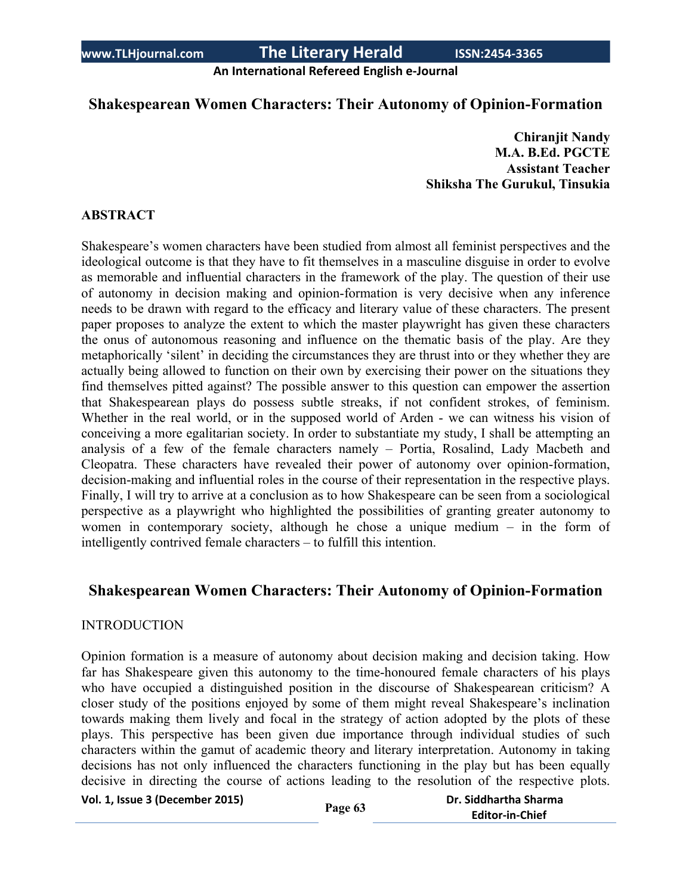**An International Refereed English e-Journal**

# **Shakespearean Women Characters: Their Autonomy of Opinion-Formation**

**Chiranjit Nandy M.A. B.Ed. PGCTE Assistant Teacher Shiksha The Gurukul, Tinsukia**

## **ABSTRACT**

Shakespeare's women characters have been studied from almost all feminist perspectives and the ideological outcome is that they have to fit themselves in a masculine disguise in order to evolve as memorable and influential characters in the framework of the play. The question of their use of autonomy in decision making and opinion-formation is very decisive when any inference needs to be drawn with regard to the efficacy and literary value of these characters. The present paper proposes to analyze the extent to which the master playwright has given these characters the onus of autonomous reasoning and influence on the thematic basis of the play. Are they metaphorically 'silent' in deciding the circumstances they are thrust into or they whether they are actually being allowed to function on their own by exercising their power on the situations they find themselves pitted against? The possible answer to this question can empower the assertion that Shakespearean plays do possess subtle streaks, if not confident strokes, of feminism. Whether in the real world, or in the supposed world of Arden - we can witness his vision of conceiving a more egalitarian society. In order to substantiate my study, I shall be attempting an analysis of a few of the female characters namely – Portia, Rosalind, Lady Macbeth and Cleopatra. These characters have revealed their power of autonomy over opinion-formation, decision-making and influential roles in the course of their representation in the respective plays. Finally, I will try to arrive at a conclusion as to how Shakespeare can be seen from a sociological perspective as a playwright who highlighted the possibilities of granting greater autonomy to women in contemporary society, although he chose a unique medium – in the form of intelligently contrived female characters – to fulfill this intention.

## **Shakespearean Women Characters: Their Autonomy of Opinion-Formation**

#### INTRODUCTION

Opinion formation is a measure of autonomy about decision making and decision taking. How far has Shakespeare given this autonomy to the time-honoured female characters of his plays who have occupied a distinguished position in the discourse of Shakespearean criticism? A closer study of the positions enjoyed by some of them might reveal Shakespeare's inclination towards making them lively and focal in the strategy of action adopted by the plots of these plays. This perspective has been given due importance through individual studies of such characters within the gamut of academic theory and literary interpretation. Autonomy in taking decisions has not only influenced the characters functioning in the play but has been equally decisive in directing the course of actions leading to the resolution of the respective plots.

**Vol. 1, Issue <sup>3</sup> (December 2015) Page <sup>63</sup> Dr. Siddhartha Sharma**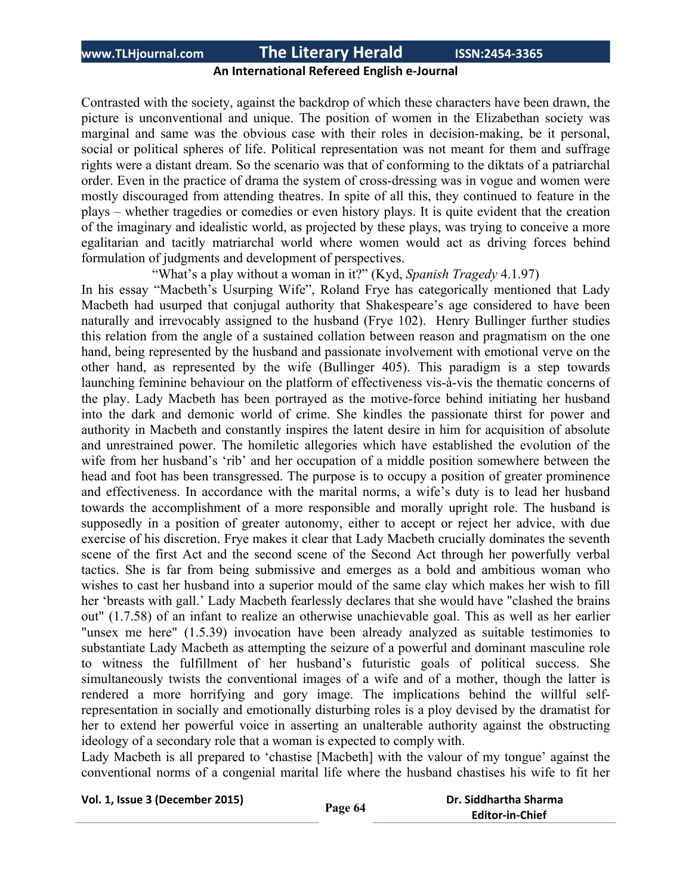## **An International Refereed English e-Journal**

Contrasted with the society, against the backdrop of which these characters have been drawn, the picture is unconventional and unique. The position of women in the Elizabethan society was marginal and same was the obvious case with their roles in decision-making, be it personal, social or political spheres of life. Political representation was not meant for them and suffrage rights were a distant dream. So the scenario was that of conforming to the diktats of a patriarchal order. Even in the practice of drama the system of cross-dressing was in vogue and women were mostly discouraged from attending theatres. In spite of all this, they continued to feature in the plays – whether tragedies or comedies or even history plays. It is quite evident that the creation of the imaginary and idealistic world, as projected by these plays, was trying to conceive a more egalitarian and tacitly matriarchal world where women would act as driving forces behind formulation of judgments and development of perspectives.

"What's a play without a woman in it?" (Kyd, *Spanish Tragedy* 4.1.97)

In his essay "Macbeth's Usurping Wife", Roland Frye has categorically mentioned that Lady Macbeth had usurped that conjugal authority that Shakespeare's age considered to have been naturally and irrevocably assigned to the husband (Frye 102). Henry Bullinger further studies this relation from the angle of a sustained collation between reason and pragmatism on the one hand, being represented by the husband and passionate involvement with emotional verve on the other hand, as represented by the wife (Bullinger 405). This paradigm is a step towards launching feminine behaviour on the platform of effectiveness vis-à-vis the thematic concerns of the play. Lady Macbeth has been portrayed as the motive-force behind initiating her husband into the dark and demonic world of crime. She kindles the passionate thirst for power and authority in Macbeth and constantly inspires the latent desire in him for acquisition of absolute and unrestrained power. The homiletic allegories which have established the evolution of the wife from her husband's 'rib' and her occupation of a middle position somewhere between the head and foot has been transgressed. The purpose is to occupy a position of greater prominence and effectiveness. In accordance with the marital norms, a wife's duty is to lead her husband towards the accomplishment of a more responsible and morally upright role. The husband is supposedly in a position of greater autonomy, either to accept or reject her advice, with due exercise of his discretion. Frye makes it clear that Lady Macbeth crucially dominates the seventh scene of the first Act and the second scene of the Second Act through her powerfully verbal tactics. She is far from being submissive and emerges as a bold and ambitious woman who wishes to cast her husband into a superior mould of the same clay which makes her wish to fill her 'breasts with gall.' Lady Macbeth fearlessly declares that she would have "clashed the brains out" (1.7.58) of an infant to realize an otherwise unachievable goal. This as well as her earlier "unsex me here" (1.5.39) invocation have been already analyzed as suitable testimonies to substantiate Lady Macbeth as attempting the seizure of a powerful and dominant masculine role to witness the fulfillment of her husband's futuristic goals of political success. She simultaneously twists the conventional images of a wife and of a mother, though the latter is rendered a more horrifying and gory image. The implications behind the willful selfrepresentation in socially and emotionally disturbing roles is a ploy devised by the dramatist for her to extend her powerful voice in asserting an unalterable authority against the obstructing ideology of a secondary role that a woman is expected to comply with.

Lady Macbeth is all prepared to 'chastise [Macbeth] with the valour of my tongue' against the conventional norms of a congenial marital life where the husband chastises his wife to fit her

```
Vol. 1, Issue 3 (December 2015) Page 64 Dr. Siddhartha Sharma
                                           Editor-in-Chief
```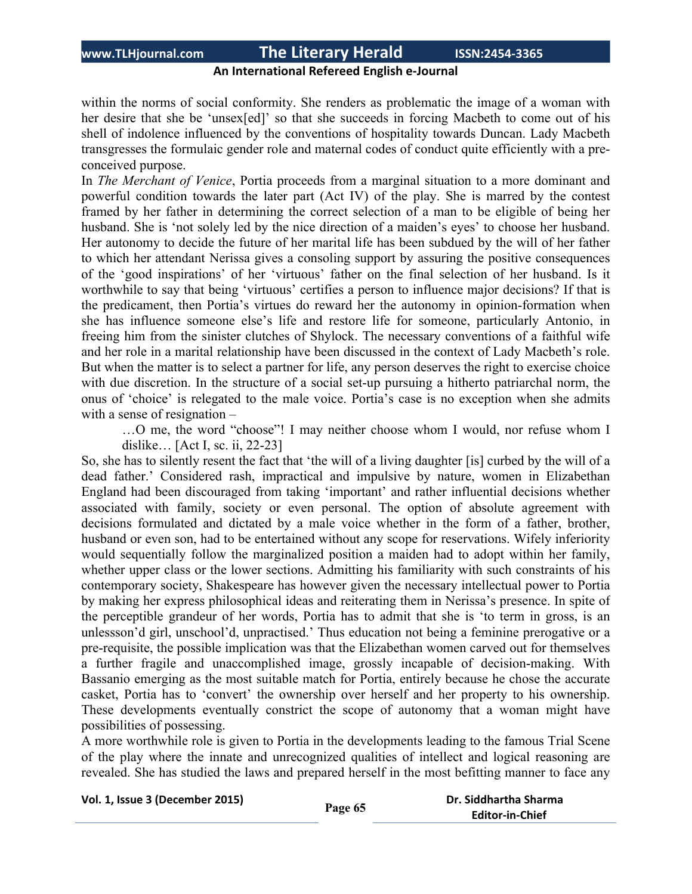## **An International Refereed English e-Journal**

within the norms of social conformity. She renders as problematic the image of a woman with her desire that she be 'unsex[ed]' so that she succeeds in forcing Macbeth to come out of his shell of indolence influenced by the conventions of hospitality towards Duncan. Lady Macbeth transgresses the formulaic gender role and maternal codes of conduct quite efficiently with a preconceived purpose.

In *The Merchant of Venice*, Portia proceeds from a marginal situation to a more dominant and powerful condition towards the later part (Act IV) of the play. She is marred by the contest framed by her father in determining the correct selection of a man to be eligible of being her husband. She is 'not solely led by the nice direction of a maiden's eyes' to choose her husband. Her autonomy to decide the future of her marital life has been subdued by the will of her father to which her attendant Nerissa gives a consoling support by assuring the positive consequences of the 'good inspirations' of her 'virtuous' father on the final selection of her husband. Is it worthwhile to say that being 'virtuous' certifies a person to influence major decisions? If that is the predicament, then Portia's virtues do reward her the autonomy in opinion-formation when she has influence someone else's life and restore life for someone, particularly Antonio, in freeing him from the sinister clutches of Shylock. The necessary conventions of a faithful wife and her role in a marital relationship have been discussed in the context of Lady Macbeth's role. But when the matter is to select a partner for life, any person deserves the right to exercise choice with due discretion. In the structure of a social set-up pursuing a hitherto patriarchal norm, the onus of 'choice' is relegated to the male voice. Portia's case is no exception when she admits with a sense of resignation –

…O me, the word "choose"! I may neither choose whom I would, nor refuse whom I dislike… [Act I, sc. ii, 22-23]

So, she has to silently resent the fact that 'the will of a living daughter [is] curbed by the will of a dead father.' Considered rash, impractical and impulsive by nature, women in Elizabethan England had been discouraged from taking 'important' and rather influential decisions whether associated with family, society or even personal. The option of absolute agreement with decisions formulated and dictated by a male voice whether in the form of a father, brother, husband or even son, had to be entertained without any scope for reservations. Wifely inferiority would sequentially follow the marginalized position a maiden had to adopt within her family, whether upper class or the lower sections. Admitting his familiarity with such constraints of his contemporary society, Shakespeare has however given the necessary intellectual power to Portia by making her express philosophical ideas and reiterating them in Nerissa's presence. In spite of the perceptible grandeur of her words, Portia has to admit that she is 'to term in gross, is an unlessson'd girl, unschool'd, unpractised.' Thus education not being a feminine prerogative or a pre-requisite, the possible implication was that the Elizabethan women carved out for themselves a further fragile and unaccomplished image, grossly incapable of decision-making. With Bassanio emerging as the most suitable match for Portia, entirely because he chose the accurate casket, Portia has to 'convert' the ownership over herself and her property to his ownership. These developments eventually constrict the scope of autonomy that a woman might have possibilities of possessing.

A more worthwhile role is given to Portia in the developments leading to the famous Trial Scene of the play where the innate and unrecognized qualities of intellect and logical reasoning are revealed. She has studied the laws and prepared herself in the most befitting manner to face any

|  | Vol. 1, Issue 3 (December 2015) |
|--|---------------------------------|
|--|---------------------------------|

```
Vol. 1, Issue 3 (December 2015) Page 65 Dr. Siddhartha Sharma
                        Editor-in-Chief
```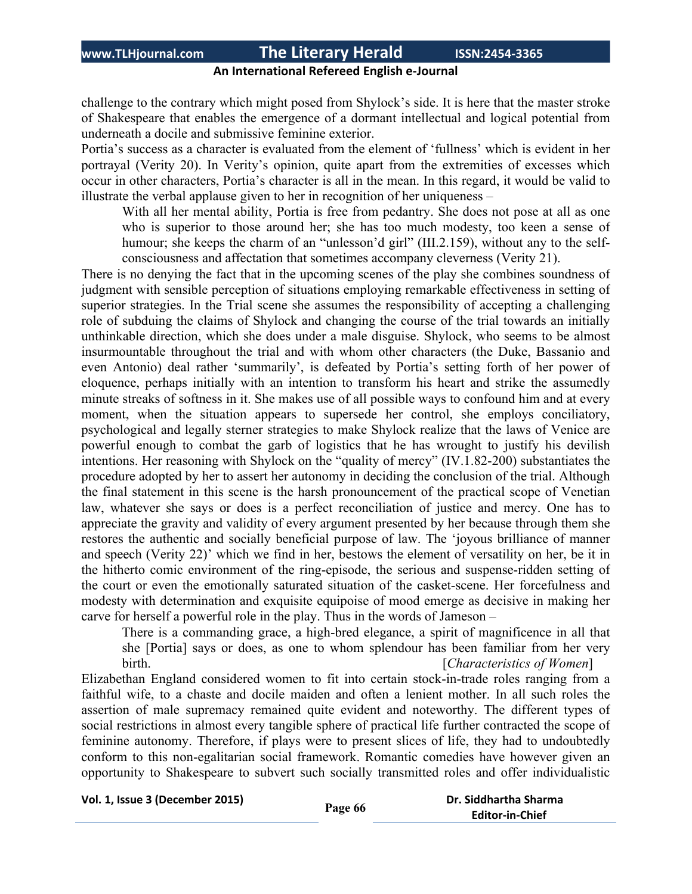## **An International Refereed English e-Journal**

challenge to the contrary which might posed from Shylock's side. It is here that the master stroke of Shakespeare that enables the emergence of a dormant intellectual and logical potential from underneath a docile and submissive feminine exterior.

Portia's success as a character is evaluated from the element of 'fullness' which is evident in her portrayal (Verity 20). In Verity's opinion, quite apart from the extremities of excesses which occur in other characters, Portia's character is all in the mean. In this regard, it would be valid to illustrate the verbal applause given to her in recognition of her uniqueness –

With all her mental ability, Portia is free from pedantry. She does not pose at all as one who is superior to those around her; she has too much modesty, too keen a sense of humour; she keeps the charm of an "unlesson'd girl" (III.2.159), without any to the selfconsciousness and affectation that sometimes accompany cleverness (Verity 21).

There is no denying the fact that in the upcoming scenes of the play she combines soundness of judgment with sensible perception of situations employing remarkable effectiveness in setting of superior strategies. In the Trial scene she assumes the responsibility of accepting a challenging role of subduing the claims of Shylock and changing the course of the trial towards an initially unthinkable direction, which she does under a male disguise. Shylock, who seems to be almost insurmountable throughout the trial and with whom other characters (the Duke, Bassanio and even Antonio) deal rather 'summarily', is defeated by Portia's setting forth of her power of eloquence, perhaps initially with an intention to transform his heart and strike the assumedly minute streaks of softness in it. She makes use of all possible ways to confound him and at every moment, when the situation appears to supersede her control, she employs conciliatory, psychological and legally sterner strategies to make Shylock realize that the laws of Venice are powerful enough to combat the garb of logistics that he has wrought to justify his devilish intentions. Her reasoning with Shylock on the "quality of mercy" (IV.1.82-200) substantiates the procedure adopted by her to assert her autonomy in deciding the conclusion of the trial. Although the final statement in this scene is the harsh pronouncement of the practical scope of Venetian law, whatever she says or does is a perfect reconciliation of justice and mercy. One has to appreciate the gravity and validity of every argument presented by her because through them she restores the authentic and socially beneficial purpose of law. The 'joyous brilliance of manner and speech (Verity 22)' which we find in her, bestows the element of versatility on her, be it in the hitherto comic environment of the ring-episode, the serious and suspense-ridden setting of the court or even the emotionally saturated situation of the casket-scene. Her forcefulness and modesty with determination and exquisite equipoise of mood emerge as decisive in making her carve for herself a powerful role in the play. Thus in the words of Jameson –

There is a commanding grace, a high-bred elegance, a spirit of magnificence in all that she [Portia] says or does, as one to whom splendour has been familiar from her very birth. [*Characteristics of Women*]

Elizabethan England considered women to fit into certain stock-in-trade roles ranging from a faithful wife, to a chaste and docile maiden and often a lenient mother. In all such roles the assertion of male supremacy remained quite evident and noteworthy. The different types of social restrictions in almost every tangible sphere of practical life further contracted the scope of feminine autonomy. Therefore, if plays were to present slices of life, they had to undoubtedly conform to this non-egalitarian social framework. Romantic comedies have however given an opportunity to Shakespeare to subvert such socially transmitted roles and offer individualistic

**Vol. 1, Issue <sup>3</sup> (December 2015) Page <sup>66</sup> Dr. Siddhartha Sharma**

**Editor-in-Chief**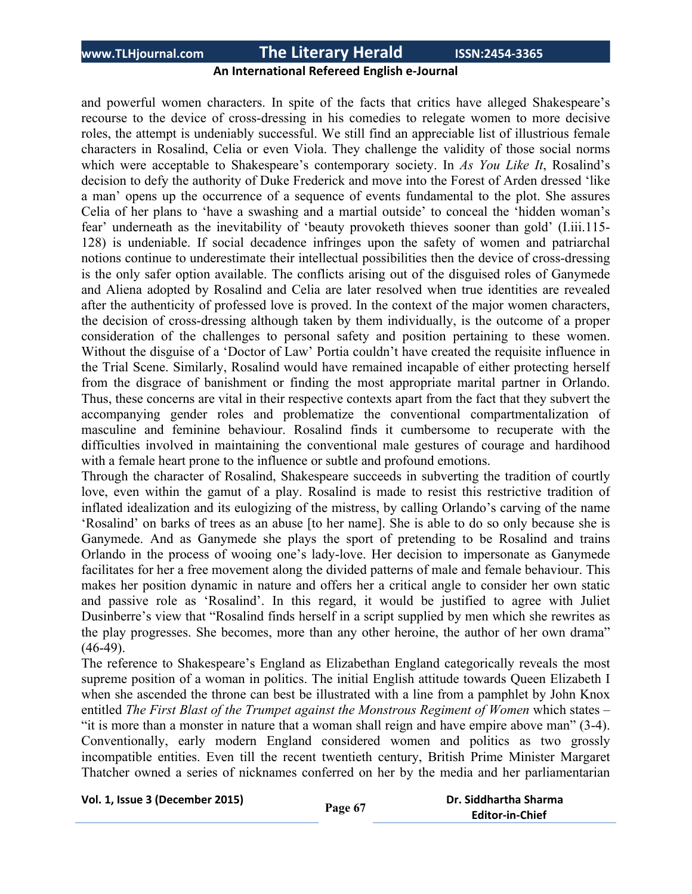### **An International Refereed English e-Journal**

and powerful women characters. In spite of the facts that critics have alleged Shakespeare's recourse to the device of cross-dressing in his comedies to relegate women to more decisive roles, the attempt is undeniably successful. We still find an appreciable list of illustrious female characters in Rosalind, Celia or even Viola. They challenge the validity of those social norms which were acceptable to Shakespeare's contemporary society. In *As You Like It*, Rosalind's decision to defy the authority of Duke Frederick and move into the Forest of Arden dressed 'like a man' opens up the occurrence of a sequence of events fundamental to the plot. She assures Celia of her plans to 'have a swashing and a martial outside' to conceal the 'hidden woman's fear' underneath as the inevitability of 'beauty provoketh thieves sooner than gold' (I.iii.115- 128) is undeniable. If social decadence infringes upon the safety of women and patriarchal notions continue to underestimate their intellectual possibilities then the device of cross-dressing is the only safer option available. The conflicts arising out of the disguised roles of Ganymede and Aliena adopted by Rosalind and Celia are later resolved when true identities are revealed after the authenticity of professed love is proved. In the context of the major women characters, the decision of cross-dressing although taken by them individually, is the outcome of a proper consideration of the challenges to personal safety and position pertaining to these women. Without the disguise of a 'Doctor of Law' Portia couldn't have created the requisite influence in the Trial Scene. Similarly, Rosalind would have remained incapable of either protecting herself from the disgrace of banishment or finding the most appropriate marital partner in Orlando. Thus, these concerns are vital in their respective contexts apart from the fact that they subvert the accompanying gender roles and problematize the conventional compartmentalization of masculine and feminine behaviour. Rosalind finds it cumbersome to recuperate with the difficulties involved in maintaining the conventional male gestures of courage and hardihood with a female heart prone to the influence or subtle and profound emotions.

Through the character of Rosalind, Shakespeare succeeds in subverting the tradition of courtly love, even within the gamut of a play. Rosalind is made to resist this restrictive tradition of inflated idealization and its eulogizing of the mistress, by calling Orlando's carving of the name 'Rosalind' on barks of trees as an abuse [to her name]. She is able to do so only because she is Ganymede. And as Ganymede she plays the sport of pretending to be Rosalind and trains Orlando in the process of wooing one's lady-love. Her decision to impersonate as Ganymede facilitates for her a free movement along the divided patterns of male and female behaviour. This makes her position dynamic in nature and offers her a critical angle to consider her own static and passive role as 'Rosalind'. In this regard, it would be justified to agree with Juliet Dusinberre's view that "Rosalind finds herself in a script supplied by men which she rewrites as the play progresses. She becomes, more than any other heroine, the author of her own drama"  $(46-49)$ .

The reference to Shakespeare's England as Elizabethan England categorically reveals the most supreme position of a woman in politics. The initial English attitude towards Queen Elizabeth I when she ascended the throne can best be illustrated with a line from a pamphlet by John Knox entitled *The First Blast of the Trumpet against the Monstrous Regiment of Women* which states – "it is more than a monster in nature that a woman shall reign and have empire above man" (3-4). Conventionally, early modern England considered women and politics as two grossly incompatible entities. Even till the recent twentieth century, British Prime Minister Margaret Thatcher owned a series of nicknames conferred on her by the media and her parliamentarian

```
Vol. 1, Issue 3 (December 2015) Page 67 Dr. Siddhartha Sharma
```

```
 Editor-in-Chief
```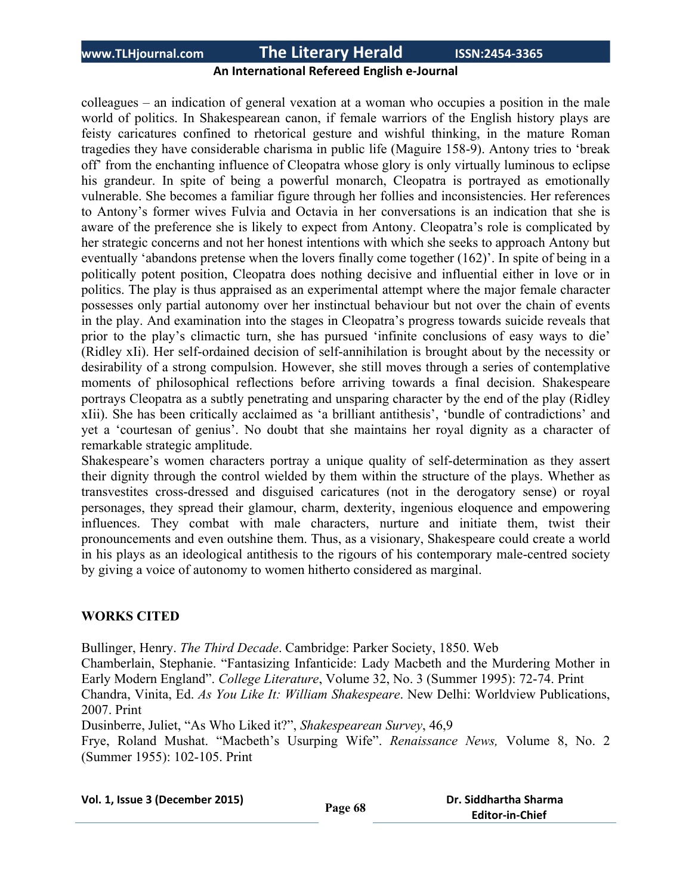## **An International Refereed English e-Journal**

colleagues – an indication of general vexation at a woman who occupies a position in the male world of politics. In Shakespearean canon, if female warriors of the English history plays are feisty caricatures confined to rhetorical gesture and wishful thinking, in the mature Roman tragedies they have considerable charisma in public life (Maguire 158-9). Antony tries to 'break off' from the enchanting influence of Cleopatra whose glory is only virtually luminous to eclipse his grandeur. In spite of being a powerful monarch, Cleopatra is portrayed as emotionally vulnerable. She becomes a familiar figure through her follies and inconsistencies. Her references to Antony's former wives Fulvia and Octavia in her conversations is an indication that she is aware of the preference she is likely to expect from Antony. Cleopatra's role is complicated by her strategic concerns and not her honest intentions with which she seeks to approach Antony but eventually 'abandons pretense when the lovers finally come together (162)'. In spite of being in a politically potent position, Cleopatra does nothing decisive and influential either in love or in politics. The play is thus appraised as an experimental attempt where the major female character possesses only partial autonomy over her instinctual behaviour but not over the chain of events in the play. And examination into the stages in Cleopatra's progress towards suicide reveals that prior to the play's climactic turn, she has pursued 'infinite conclusions of easy ways to die' (Ridley xIi). Her self-ordained decision of self-annihilation is brought about by the necessity or desirability of a strong compulsion. However, she still moves through a series of contemplative moments of philosophical reflections before arriving towards a final decision. Shakespeare portrays Cleopatra as a subtly penetrating and unsparing character by the end of the play (Ridley xIii). She has been critically acclaimed as 'a brilliant antithesis', 'bundle of contradictions' and yet a 'courtesan of genius'. No doubt that she maintains her royal dignity as a character of remarkable strategic amplitude.

Shakespeare's women characters portray a unique quality of self-determination as they assert their dignity through the control wielded by them within the structure of the plays. Whether as transvestites cross-dressed and disguised caricatures (not in the derogatory sense) or royal personages, they spread their glamour, charm, dexterity, ingenious eloquence and empowering influences. They combat with male characters, nurture and initiate them, twist their pronouncements and even outshine them. Thus, as a visionary, Shakespeare could create a world in his plays as an ideological antithesis to the rigours of his contemporary male-centred society by giving a voice of autonomy to women hitherto considered as marginal.

#### **WORKS CITED**

Bullinger, Henry. *The Third Decade*. Cambridge: Parker Society, 1850. Web

Chamberlain, Stephanie. "Fantasizing Infanticide: Lady Macbeth and the Murdering Mother in Early Modern England". *College Literature*, Volume 32, No. 3 (Summer 1995): 72-74. Print Chandra, Vinita, Ed. *As You Like It: William Shakespeare*. New Delhi: Worldview Publications,

2007. Print

Dusinberre, Juliet, "As Who Liked it?", *Shakespearean Survey*, 46,9

Frye, Roland Mushat. "Macbeth's Usurping Wife". *Renaissance News,* Volume 8, No. 2 (Summer 1955): 102-105. Print

| Vol. 1, Issue 3 (December 2015) |  |  |  |
|---------------------------------|--|--|--|
|---------------------------------|--|--|--|